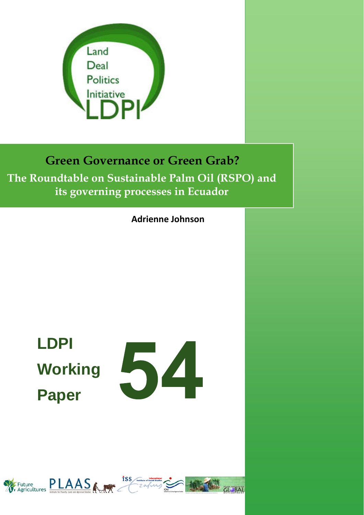

## **Green Governance or Green Grab? The Roundtable on Sustainable Palm Oil (RSPO) and its governing processes in Ecuador**

### **Adrienne Johnson**

# **LDPI Working Paper**



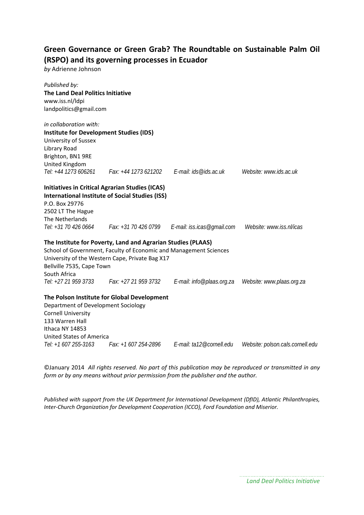#### **Green Governance or Green Grab? The Roundtable on Sustainable Palm Oil (RSPO) and its governing processes in Ecuador**

*by* Adrienne Johnson

| Published by:<br><b>The Land Deal Politics Initiative</b><br>www.iss.nl/ldpi<br>landpolitics@gmail.com |                                                                                                                                                                                      |                                                   |                                  |
|--------------------------------------------------------------------------------------------------------|--------------------------------------------------------------------------------------------------------------------------------------------------------------------------------------|---------------------------------------------------|----------------------------------|
| in collaboration with:                                                                                 |                                                                                                                                                                                      |                                                   |                                  |
| <b>Institute for Development Studies (IDS)</b>                                                         |                                                                                                                                                                                      |                                                   |                                  |
| University of Sussex                                                                                   |                                                                                                                                                                                      |                                                   |                                  |
| Library Road                                                                                           |                                                                                                                                                                                      |                                                   |                                  |
| Brighton, BN1 9RE<br>United Kingdom                                                                    |                                                                                                                                                                                      |                                                   |                                  |
| Tel: +44 1273 606261                                                                                   |                                                                                                                                                                                      |                                                   | Website: www.ids.ac.uk           |
|                                                                                                        | <b>Initiatives in Critical Agrarian Studies (ICAS)</b>                                                                                                                               |                                                   |                                  |
|                                                                                                        | <b>International Institute of Social Studies (ISS)</b>                                                                                                                               |                                                   |                                  |
| P.O. Box 29776                                                                                         |                                                                                                                                                                                      |                                                   |                                  |
| 2502 LT The Hague                                                                                      |                                                                                                                                                                                      |                                                   |                                  |
| The Netherlands                                                                                        |                                                                                                                                                                                      |                                                   |                                  |
| Tel: +31 70 426 0664                                                                                   |                                                                                                                                                                                      | $Fax: +31$ 70 426 0799 E-mail: iss.icas@gmail.com | Website: www.iss.nl/icas         |
| Bellville 7535, Cape Town<br>South Africa                                                              | The Institute for Poverty, Land and Agrarian Studies (PLAAS)<br>School of Government, Faculty of Economic and Management Sciences<br>University of the Western Cape, Private Bag X17 |                                                   |                                  |
|                                                                                                        | Tel: +27 21 959 3733 Fax: +27 21 959 3732                                                                                                                                            | E-mail: info@plaas.org.za                         | Website: www.plaas.org.za        |
|                                                                                                        | The Polson Institute for Global Development                                                                                                                                          |                                                   |                                  |
| Department of Development Sociology                                                                    |                                                                                                                                                                                      |                                                   |                                  |
| <b>Cornell University</b>                                                                              |                                                                                                                                                                                      |                                                   |                                  |
| 133 Warren Hall                                                                                        |                                                                                                                                                                                      |                                                   |                                  |
| Ithaca NY 14853                                                                                        |                                                                                                                                                                                      |                                                   |                                  |
| <b>United States of America</b>                                                                        |                                                                                                                                                                                      |                                                   |                                  |
| Tel: +1 607 255-3163                                                                                   | Fax: +1 607 254-2896                                                                                                                                                                 | E-mail: ta12@cornell.edu                          | Website: polson.cals.cornell.edu |

©January 2014 *All rights reserved. No part of this publication may be reproduced or transmitted in any form or by any means without prior permission from the publisher and the author.*

*Published with support from the UK Department for International Development (DfID), Atlantic Philanthropies, Inter‐Church Organization for Development Cooperation (ICCO), Ford Foundation and Miserior.*

*Land Deal Politics Initiative*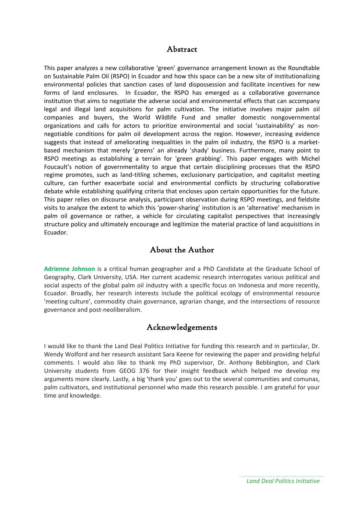#### Abstract

This paper analyzes a new collaborative 'green' governance arrangement known as the Roundtable on Sustainable Palm Oil (RSPO) in Ecuador and how this space can be a new site of institutionalizing environmental policies that sanction cases of land dispossession and facilitate incentives for new forms of land enclosures. In Ecuador, the RSPO has emerged as a collaborative governance institution that aims to negotiate the adverse social and environmental effects that can accompany legal and illegal land acquisitions for palm cultivation. The initiative involves major palm oil companies and buyers, the World Wildlife Fund and smaller domestic nongovernmental organizations and calls for actors to prioritize environmental and social 'sustainability' as non‐ negotiable conditions for palm oil development across the region. However, increasing evidence suggests that instead of ameliorating inequalities in the palm oil industry, the RSPO is a marketbased mechanism that merely 'greens' an already 'shady' business. Furthermore, many point to RSPO meetings as establishing a terrain for 'green grabbing'. This paper engages with Michel Foucault's notion of governmentality to argue that certain disciplining processes that the RSPO regime promotes, such as land-titling schemes, exclusionary participation, and capitalist meeting culture, can further exacerbate social and environmental conflicts by structuring collaborative debate while establishing qualifying criteria that encloses upon certain opportunities for the future. This paper relies on discourse analysis, participant observation during RSPO meetings, and fieldsite visits to analyze the extent to which this 'power‐sharing' institution is an 'alternative' mechanism in palm oil governance or rather, a vehicle for circulating capitalist perspectives that increasingly structure policy and ultimately encourage and legitimize the material practice of land acquisitions in Ecuador.

#### About the Author

**Adrienne Johnson** is a critical human geographer and a PhD Candidate at the Graduate School of Geography, Clark University, USA. Her current academic research interrogates various political and social aspects of the global palm oil industry with a specific focus on Indonesia and more recently, Ecuador. Broadly, her research interests include the political ecology of environmental resource 'meeting culture', commodity chain governance, agrarian change, and the intersections of resource governance and post‐neoliberalism.

#### Acknowledgements

I would like to thank the Land Deal Politics Initiative for funding this research and in particular, Dr. Wendy Wolford and her research assistant Sara Keene for reviewing the paper and providing helpful comments. I would also like to thank my PhD supervisor, Dr. Anthony Bebbington, and Clark University students from GEOG 376 for their insight feedback which helped me develop my arguments more clearly. Lastly, a big 'thank you' goes out to the several communities and comunas, palm cultivators, and institutional personnel who made this research possible. I am grateful for your time and knowledge.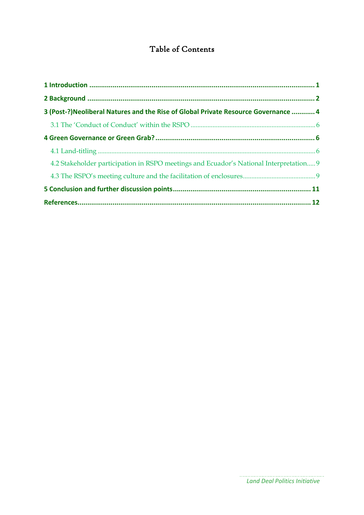#### Table of Contents

| 3 (Post-?) Neoliberal Natures and the Rise of Global Private Resource Governance  4    |  |
|----------------------------------------------------------------------------------------|--|
|                                                                                        |  |
|                                                                                        |  |
|                                                                                        |  |
| 4.2 Stakeholder participation in RSPO meetings and Ecuador's National Interpretation 9 |  |
|                                                                                        |  |
|                                                                                        |  |
|                                                                                        |  |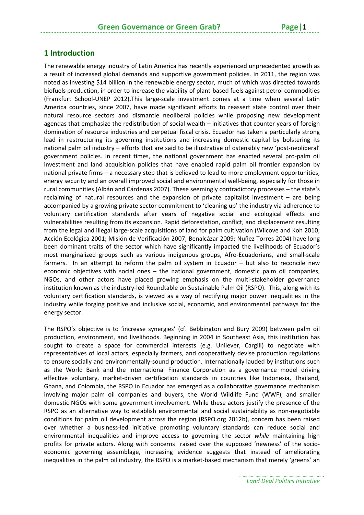#### **1 Introduction**

The renewable energy industry of Latin America has recently experienced unprecedented growth as a result of increased global demands and supportive government policies. In 2011, the region was noted as investing \$14 billion in the renewable energy sector, much of which was directed towards biofuels production, in order to increase the viability of plant‐based fuels against petrol commodities (Frankfurt School‐UNEP 2012).This large‐scale investment comes at a time when several Latin America countries, since 2007, have made significant efforts to reassert state control over their natural resource sectors and dismantle neoliberal policies while proposing new development agendas that emphasize the redistribution of social wealth – initiatives that counter years of foreign domination of resource industries and perpetual fiscal crisis. Ecuador has taken a particularly strong lead in restructuring its governing institutions and increasing domestic capital by bolstering its national palm oil industry – efforts that are said to be illustrative of ostensibly new 'post-neoliberal' government policies. In recent times, the national government has enacted several pro‐palm oil investment and land acquisition policies that have enabled rapid palm oil frontier expansion by national private firms – a necessary step that is believed to lead to more employment opportunities, energy security and an overall improved social and environmental well-being, especially for those in rural communities (Albán and Cárdenas 2007). These seemingly contradictory processes – the state's reclaiming of natural resources and the expansion of private capitalist investment – are being accompanied by a growing private sector commitment to 'cleaning up' the industry via adherence to voluntary certification standards after years of negative social and ecological effects and vulnerabilities resulting from its expansion. Rapid deforestation, conflict, and displacement resulting from the legal and illegal large-scale acquisitions of land for palm cultivation (Wilcove and Koh 2010; Acción Ecológica 2001; Misión de Verificación 2007; Benalcázar 2009; Nuñez Torres 2004) have long been dominant traits of the sector which have significantly impacted the livelihoods of Ecuador's most marginalized groups such as various indigenous groups, Afro‐Ecuadorians, and small‐scale farmers. In an attempt to reform the palm oil system in Ecuador  $-$  but also to reconcile new economic objectives with social ones – the national government, domestic palm oil companies, NGOs, and other actors have placed growing emphasis on the multi‐stakeholder governance institution known as the industry‐led Roundtable on Sustainable Palm Oil (RSPO). This, along with its voluntary certification standards, is viewed as a way of rectifying major power inequalities in the industry while forging positive and inclusive social, economic, and environmental pathways for the energy sector.

The RSPO's objective is to 'increase synergies' (cf. Bebbington and Bury 2009) between palm oil production, environment, and livelihoods. Beginning in 2004 in Southeast Asia, this institution has sought to create a space for commercial interests (e.g. Unilever, Cargill) to negotiate with representatives of local actors, especially farmers, and cooperatively devise production regulations to ensure socially and environmentally-sound production. Internationally lauded by institutions such as the World Bank and the International Finance Corporation as a governance model driving effective voluntary, market‐driven certification standards in countries like Indonesia, Thailand, Ghana, and Colombia, the RSPO in Ecuador has emerged as a collaborative governance mechanism involving major palm oil companies and buyers, the World Wildlife Fund (WWF), and smaller domestic NGOs with some government involvement. While these actors justify the presence of the RSPO as an alternative way to establish environmental and social sustainability as non-negotiable conditions for palm oil development across the region (RSPO.org 2012b), concern has been raised over whether a business‐led initiative promoting voluntary standards can reduce social and environmental inequalities and improve access to governing the sector *while* maintaining high profits for private actors. Along with concerns raised over the supposed 'newness' of the socioeconomic governing assemblage, increasing evidence suggests that instead of ameliorating inequalities in the palm oil industry, the RSPO is a market-based mechanism that merely 'greens' an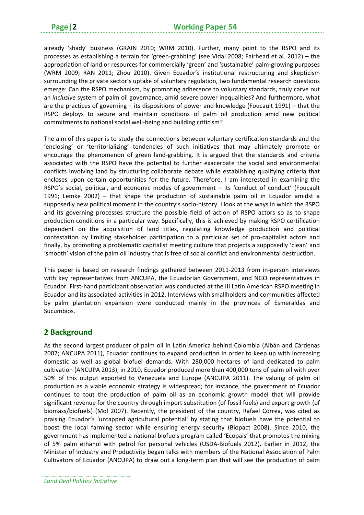already 'shady' business (GRAIN 2010; WRM 2010). Further, many point to the RSPO and its processes as establishing a terrain for 'green‐grabbing' (see Vidal 2008; Fairhead et al. 2012) – the appropriation of land or resources for commercially 'green' and 'sustainable' palm‐growing purposes (WRM 2009; RAN 2011; Zhou 2010). Given Ecuador's institutional restructuring and skepticism surrounding the private sector's uptake of voluntary regulation, two fundamental research questions emerge: Can the RSPO mechanism, by promoting adherence to voluntary standards, truly carve out an *inclusive* system of palm oil governance, amid severe power inequalities? And furthermore, what are the practices of governing – its dispositions of power and knowledge (Foucault 1991) – that the RSPO deploys to secure and maintain conditions of palm oil production amid new political commitments to national social well‐being and building criticism?

The aim of this paper is to study the connections between voluntary certification standards and the 'enclosing' or 'territorializing' tendencies of such initiatives that may ultimately promote or encourage the phenomenon of green land‐grabbing. It is argued that the standards and criteria associated with the RSPO have the potential to further exacerbate the social and environmental conflicts involving land by structuring collaborate debate while establishing qualifying criteria that encloses upon certain opportunities for the future. Therefore, I am interested in examining the RSPO's social, political, and economic modes of government – its 'conduct of conduct' (Foucault 1991; Lemke 2002) – that shape the production of sustainable palm oil in Ecuador amidst a supposedly new political moment in the country's socio-history. I look at the ways in which the RSPO and its governing processes structure the possible field of action of RSPO actors so as to shape production conditions in a particular way. Specifically, this is achieved by making RSPO certification dependent on the acquisition of land titles, regulating knowledge production and political contestation by limiting stakeholder participation to a particular set of pro‐capitalist actors and finally, by promoting a problematic capitalist meeting culture that projects a supposedly 'clean' and 'smooth' vision of the palm oil industry that is free of social conflict and environmental destruction.

This paper is based on research findings gathered between 2011‐2013 from in‐person interviews with key representatives from ANCUPA, the Ecuadorian Government, and NGO representatives in Ecuador. First-hand participant observation was conducted at the III Latin American RSPO meeting in Ecuador and its associated activities in 2012. Interviews with smallholders and communities affected by palm plantation expansion were conducted mainly in the provinces of Esmeraldas and Sucumbios.

#### **2 Background**

As the second largest producer of palm oil in Latin America behind Colombia (Albán and Cárdenas 2007; ANCUPA 2011), Ecuador continues to expand production in order to keep up with increasing domestic as well as global biofuel demands. With 280,000 hectares of land dedicated to palm cultivation (ANCUPA 2013), in 2010, Ecuador produced more than 400,000 tons of palm oil with over 50% of this output exported to Venezuela and Europe (ANCUPA 2011). The valuing of palm oil production as a viable economic strategy is widespread; for instance, the government of Ecuador continues to tout the production of palm oil as an economic growth model that will provide significant revenue for the country through import substitution (of fossil fuels) and export growth (of biomass/biofuels) (Mol 2007). Recently, the president of the country, Rafael Correa, was cited as praising Ecuador's 'untapped agricultural potential' by stating that biofuels have the potential to boost the local farming sector while ensuring energy security (Biopact 2008). Since 2010, the government has implemented a national biofuels program called 'Ecopais' that promotes the mixing of 5% palm ethanol with petrol for personal vehicles (USDA‐Biofuels 2012). Earlier in 2012, the Minister of Industry and Productivity began talks with members of the National Association of Palm Cultivators of Ecuador (ANCUPA) to draw out a long‐term plan that will see the production of palm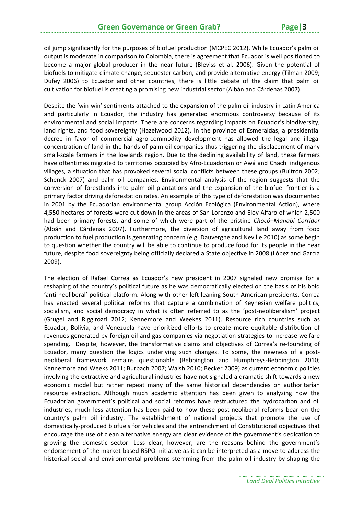oil jump significantly for the purposes of biofuel production (MCPEC 2012). While Ecuador's palm oil output is moderate in comparison to Colombia, there is agreement that Ecuador is well positioned to become a major global producer in the near future (Bleviss et al. 2006). Given the potential of biofuels to mitigate climate change, sequester carbon, and provide alternative energy (Tilman 2009; Dufey 2006) to Ecuador and other countries, there is little debate of the claim that palm oil cultivation for biofuel is creating a promising new industrial sector (Albán and Cárdenas 2007).

Despite the 'win-win' sentiments attached to the expansion of the palm oil industry in Latin America and particularly in Ecuador, the industry has generated enormous controversy because of its environmental and social impacts. There are concerns regarding impacts on Ecuador's biodiversity, land rights, and food sovereignty (Hazelwood 2012). In the province of Esmeraldas, a presidential decree in favor of commercial agro‐commodity development has allowed the legal and illegal concentration of land in the hands of palm oil companies thus triggering the displacement of many small-scale farmers in the lowlands region. Due to the declining availability of land, these farmers have oftentimes migrated to territories occupied by Afro-Ecuadorian or Awá and Chachi indigenous villages, a situation that has provoked several social conflicts between these groups (Buitrón 2002; Schenck 2007) and palm oil companies. Environmental analysis of the region suggests that the conversion of forestlands into palm oil plantations and the expansion of the biofuel frontier is a primary factor driving deforestation rates. An example of this type of deforestation was documented in 2001 by the Ecuadorian environmental group Acción Ecológica (Environmental Action), where 4,550 hectares of forests were cut down in the areas of San Lorenzo and Eloy Alfaro of which 2,500 had been primary forests, and some of which were part of the pristine *Chocó–Manabí Corridor* (Albán and Cárdenas 2007). Furthermore, the diversion of agricultural land away from food production to fuel production is generating concern (e.g. Dauvergne and Neville 2010) as some begin to question whether the country will be able to continue to produce food for its people in the near future, despite food sovereignty being officially declared a State objective in 2008 (López and García 2009).

The election of Rafael Correa as Ecuador's new president in 2007 signaled new promise for a reshaping of the country's political future as he was democratically elected on the basis of his bold 'anti-neoliberal' political platform. Along with other left-leaning South American presidents, Correa has enacted several political reforms that capture a combination of Keynesian welfare politics, socialism, and social democracy in what is often referred to as the 'post-neoliberalism' project (Grugel and Riggirozzi 2012; Kennemore and Weekes 2011). Resource rich countries such as Ecuador, Bolivia, and Venezuela have prioritized efforts to create more equitable distribution of revenues generated by foreign oil and gas companies via negotiation strategies to increase welfare spending. Despite, however, the transformative claims and objectives of Correa's re-founding of Ecuador, many question the logics underlying such changes. To some, the newness of a post‐ neoliberal framework remains questionable (Bebbington and Humphreys‐Bebbington 2010; Kennemore and Weeks 2011; Burbach 2007; Walsh 2010; Becker 2009) as current economic policies involving the extractive and agricultural industries have not signaled a dramatic shift towards a new economic model but rather repeat many of the same historical dependencies on authoritarian resource extraction. Although much academic attention has been given to analyzing how the Ecuadorian government's political and social reforms have restructured the hydrocarbon and oil industries, much less attention has been paid to how these post-neoliberal reforms bear on the country's palm oil industry. The establishment of national projects that promote the use of domestically‐produced biofuels for vehicles and the entrenchment of Constitutional objectives that encourage the use of clean alternative energy are clear evidence of the government's dedication to growing the domestic sector. Less clear, however, are the reasons behind the government's endorsement of the market‐based RSPO initiative as it can be interpreted as a move to address the historical social and environmental problems stemming from the palm oil industry by shaping the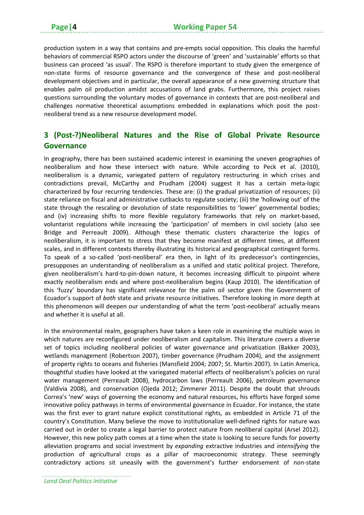production system in a way that contains and pre‐empts social opposition. This cloaks the harmful behaviors of commercial RSPO actors under the discourse of 'green' and 'sustainable' efforts so that business can proceed 'as usual'. The RSPO is therefore important to study given the emergence of non‐state forms of resource governance and the convergence of these and post‐neoliberal development objectives and in particular, the overall appearance of a new governing structure that enables palm oil production amidst accusations of land grabs. Furthermore, this project raises questions surrounding the voluntary modes of governance in contexts that are post‐neoliberal and challenges normative theoretical assumptions embedded in explanations which posit the postneoliberal trend as a new resource development model.

#### **3 (Post‐?)Neoliberal Natures and the Rise of Global Private Resource Governance**

In geography, there has been sustained academic interest in examining the uneven geographies of neoliberalism and how these intersect with nature. While according to Peck et al. (2010), neoliberalism is a dynamic, variegated pattern of regulatory restructuring in which crises and contradictions prevail, McCarthy and Prudham (2004) suggest it has a certain meta‐logic characterized by four recurring tendencies. These are: (i) the gradual privatization of resources; (ii) state reliance on fiscal and administrative cutbacks to regulate society; (iii) the 'hollowing out' of the state through the rescaling or devolution of state responsibilities to 'lower' governmental bodies; and (iv) increasing shifts to more flexible regulatory frameworks that rely on market-based, voluntarist regulations while increasing the 'participation' of members in civil society (also see Bridge and Perreault 2009). Although these thematic clusters characterize the logics of neoliberalism, it is important to stress that they become manifest at different times, at different scales, and in different contexts thereby illustrating its historical and geographical contingent forms. To speak of a so-called 'post-neoliberal' era then, in light of its predecessor's contingencies, presupposes an understanding of neoliberalism as a unified and static political project. Therefore, given neoliberalism's hard-to-pin-down nature, it becomes increasing difficult to pinpoint where exactly neoliberalism ends and where post-neoliberalism begins (Kaup 2010). The identification of this 'fuzzy' boundary has significant relevance for the palm oil sector given the Government of Ecuador's support of *both* state and private resource initiatives. Therefore looking in more depth at this phenomenon will deepen our understanding of what the term 'post-neoliberal' actually means and whether it is useful at all.

In the environmental realm, geographers have taken a keen role in examining the multiple ways in which natures are reconfigured under neoliberalism and capitalism. This literature covers a diverse set of topics including neoliberal policies of water governance and privatization (Bakker 2003), wetlands management (Robertson 2007), timber governance (Prudham 2004), and the assignment of property rights to oceans and fisheries (Mansfield 2004; 2007; St. Martin 2007). In Latin America, thoughtful studies have looked at the variegated material effects of neoliberalism's policies on rural water management (Perreault 2008), hydrocarbon laws (Perreault 2006), petroleum governance (Valdivia 2008), and conservation (Ojeda 2012; Zimmerer 2011). Despite the doubt that shrouds Correa's 'new' ways of governing the economy and natural resources, his efforts have forged some innovative policy pathways in terms of environmental governance in Ecuador. For instance, the state was the first ever to grant nature explicit constitutional rights, as embedded in Article 71 of the country's Constitution. Many believe the move to institutionalize well‐defined rights for nature was carried out in order to create a legal barrier to protect nature from neoliberal capital (Arsel 2012). However, this new policy path comes at a time when the state is looking to secure funds for poverty alleviation programs and social investment by *expanding* extractive industries and *intensifying* the production of agricultural crops as a pillar of macroeconomic strategy. These seemingly contradictory actions sit uneasily with the government's further endorsement of non‐state

*Land Deal Politics Initiative*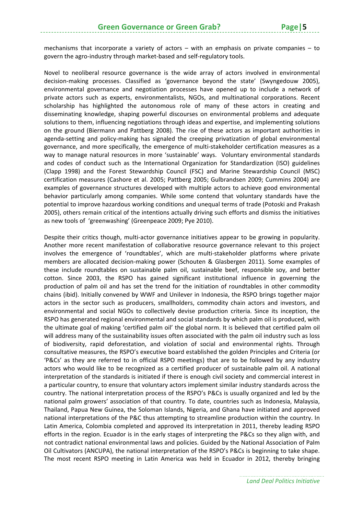mechanisms that incorporate a variety of actors – with an emphasis on private companies – to govern the agro‐industry through market‐based and self‐regulatory tools.

Novel to neoliberal resource governance is the wide array of actors involved in environmental decision‐making processes. Classified as 'governance beyond the state' (Swyngedouw 2005), environmental governance and negotiation processes have opened up to include a network of private actors such as experts, environmentalists, NGOs, and multinational corporations. Recent scholarship has highlighted the autonomous role of many of these actors in creating and disseminating knowledge, shaping powerful discourses on environmental problems and adequate solutions to them, influencing negotiations through ideas and expertise, and implementing solutions on the ground (Biermann and Pattberg 2008). The rise of these actors as important authorities in agenda‐setting and policy‐making has signaled the creeping privatization of global environmental governance, and more specifically, the emergence of multi‐stakeholder certification measures as a way to manage natural resources in more 'sustainable' ways. Voluntary environmental standards and codes of conduct such as the International Organization for Standardization (ISO) guidelines (Clapp 1998) and the Forest Stewardship Council (FSC) and Marine Stewardship Council (MSC) certification measures (Cashore et al. 2005; Pattberg 2005; Gulbrandsen 2009; Cummins 2004) are examples of governance structures developed with multiple actors to achieve good environmental behavior particularly among companies. While some contend that voluntary standards have the potential to improve hazardous working conditions and unequal terms of trade (Potoski and Prakash 2005), others remain critical of the intentions actually driving such efforts and dismiss the initiatives as new tools of 'greenwashing' (Greenpeace 2009; Pye 2010).

Despite their critics though, multi-actor governance initiatives appear to be growing in popularity. Another more recent manifestation of collaborative resource governance relevant to this project involves the emergence of 'roundtables', which are multi‐stakeholder platforms where private members are allocated decision‐making power (Schouten & Glasbergen 2011). Some examples of these include roundtables on sustainable palm oil, sustainable beef, responsible soy, and better cotton. Since 2003, the RSPO has gained significant institutional influence in governing the production of palm oil and has set the trend for the initiation of roundtables in other commodity chains (ibid). Initially convened by WWF and Unilever in Indonesia, the RSPO brings together major actors in the sector such as producers, smallholders, commodity chain actors and investors, and environmental and social NGOs to collectively devise production criteria. Since its inception, the RSPO has generated regional environmental and social standards by which palm oil is produced, with the ultimate goal of making 'certified palm oil' the global norm. It is believed that certified palm oil will address many of the sustainability issues often associated with the palm oil industry such as loss of biodiversity, rapid deforestation, and violation of social and environmental rights. Through consultative measures, the RSPO's executive board established the golden Principles and Criteria (or 'P&Cs' as they are referred to in official RSPO meetings) that are to be followed by any industry actors who would like to be recognized as a certified producer of sustainable palm oil. A national interpretation of the standards is initiated if there is enough civil society and commercial interest in a particular country, to ensure that voluntary actors implement similar industry standards across the country. The national interpretation process of the RSPO's P&Cs is usually organized and led by the national palm growers' association of that country. To date, countries such as Indonesia, Malaysia, Thailand, Papua New Guinea, the Soloman Islands, Nigeria, and Ghana have initiated and approved national interpretations of the P&C thus attempting to streamline production within the country. In Latin America, Colombia completed and approved its interpretation in 2011, thereby leading RSPO efforts in the region. Ecuador is in the early stages of interpreting the P&Cs so they align with, and not contradict national environmental laws and policies. Guided by the National Association of Palm Oil Cultivators (ANCUPA), the national interpretation of the RSPO's P&Cs is beginning to take shape. The most recent RSPO meeting in Latin America was held in Ecuador in 2012, thereby bringing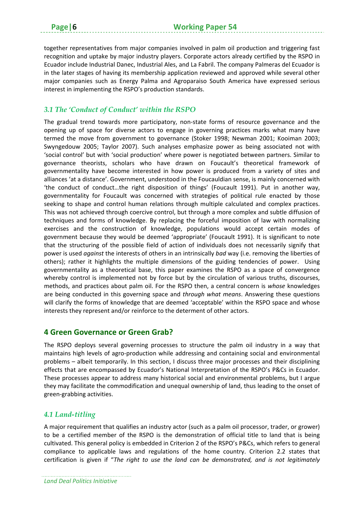together representatives from major companies involved in palm oil production and triggering fast recognition and uptake by major industry players. Corporate actors already certified by the RSPO in Ecuador include Industrial Danec, Industrial Ales, and La Fabril. The company Palmeras del Ecuador is in the later stages of having its membership application reviewed and approved while several other major companies such as Energy Palma and Agroparaiso South America have expressed serious interest in implementing the RSPO's production standards.

#### *3.1 The 'Conduct of Conduct' within the RSPO*

The gradual trend towards more participatory, non-state forms of resource governance and the opening up of space for diverse actors to engage in governing practices marks what many have termed the move from government to governance (Stoker 1998; Newman 2001; Kooiman 2003; Swyngedouw 2005; Taylor 2007). Such analyses emphasize power as being associated not with 'social control' but with 'social production' where power is negotiated between partners. Similar to governance theorists, scholars who have drawn on Foucault's theoretical framework of governmentality have become interested in how power is produced from a variety of sites and alliances 'at a distance'. Government, understood in the Foucauldian sense, is mainly concerned with 'the conduct of conduct…the right disposition of things' (Foucault 1991). Put in another way, governmentality for Foucault was concerned with strategies of political rule enacted by those seeking to shape and control human relations through multiple calculated and complex practices. This was not achieved through coercive control, but through a more complex and subtle diffusion of techniques and forms of knowledge. By replacing the forceful imposition of law with normalizing exercises and the construction of knowledge, populations would accept certain modes of government because they would be deemed 'appropriate' (Foucault 1991). It is significant to note that the structuring of the possible field of action of individuals does not necessarily signify that power is used *against* the interests of others in an intrinsically *bad* way (i.e. removing the liberties of others); rather it highlights the multiple dimensions of the guiding tendencies of power. Using governmentality as a theoretical base, this paper examines the RSPO as a space of convergence whereby control is implemented not by force but by the circulation of various truths, discourses, methods, and practices about palm oil. For the RSPO then, a central concern is *whose* knowledges are being conducted in this governing space and *through what means*. Answering these questions will clarify the forms of knowledge that are deemed 'acceptable' within the RSPO space and whose interests they represent and/or reinforce to the determent of other actors.

#### **4 Green Governance or Green Grab?**

The RSPO deploys several governing processes to structure the palm oil industry in a way that maintains high levels of agro‐production while addressing and containing social and environmental problems – albeit temporarily. In this section, I discuss three major processes and their disciplining effects that are encompassed by Ecuador's National Interpretation of the RSPO's P&Cs in Ecuador. These processes appear to address many historical social and environmental problems, but I argue they may facilitate the commodification and unequal ownership of land, thus leading to the onset of green‐grabbing activities.

#### *4.1 Land-titling*

A major requirement that qualifies an industry actor (such as a palm oil processor, trader, or grower) to be a certified member of the RSPO is the demonstration of official title to land that is being cultivated. This general policy is embedded in Criterion 2 of the RSPO's P&Cs, which refers to general compliance to applicable laws and regulations of the home country. Criterion 2.2 states that certification is given if "*The right to use the land can be demonstrated, and is not legitimately*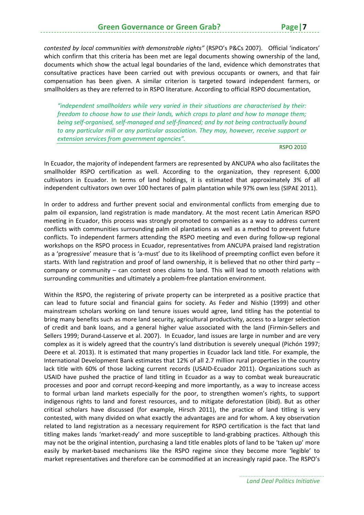*contested by local communities with demonstrable rights"* (RSPO's P&Cs 2007). Official 'indicators' which confirm that this criteria has been met are legal documents showing ownership of the land, documents which show the actual legal boundaries of the land, evidence which demonstrates that consultative practices have been carried out with previous occupants or owners, and that fair compensation has been given. A similar criterion is targeted toward independent farmers, or smallholders as they are referred to in RSPO literature. According to official RSPO documentation,

*"independent smallholders while very varied in their situations are characterised by their: freedom to choose how to use their lands, which crops to plant and how to manage them; being self‐organised, self‐managed and self‐financed; and by not being contractually bound to any particular mill or any particular association. They may, however, receive support or extension services from government agencies".*

RSPO 2010

In Ecuador, the majority of independent farmers are represented by ANCUPA who also facilitates the smallholder RSPO certification as well. According to the organization, they represent 6,000 cultivators in Ecuador. In terms of land holdings, it is estimated that approximately 3% of all independent cultivators own over 100 hectares of palm plantation while 97% own less (SIPAE 2011).

In order to address and further prevent social and environmental conflicts from emerging due to palm oil expansion, land registration is made mandatory. At the most recent Latin American RSPO meeting in Ecuador, this process was strongly promoted to companies as a way to address current conflicts with communities surrounding palm oil plantations as well as a method to prevent future conflicts. To independent farmers attending the RSPO meeting and even during follow‐up regional workshops on the RSPO process in Ecuador, representatives from ANCUPA praised land registration as a 'progressive' measure that is 'a‐must' due to its likelihood of preempting conflict even before it starts. With land registration and proof of land ownership, it is believed that no other third party – company or community – can contest ones claims to land. This will lead to smooth relations with surrounding communities and ultimately a problem‐free plantation environment.

Within the RSPO, the registering of private property can be interpreted as a positive practice that can lead to future social and financial gains for society. As Feder and Nishio (1999) and other mainstream scholars working on land tenure issues would agree, land titling has the potential to bring many benefits such as more land security, agricultural productivity, access to a larger selection of credit and bank loans, and a general higher value associated with the land (Firmin‐Sellers and Sellers 1999; Durand‐Lasserve et al. 2007). In Ecuador, land issues are large in number and are very complex as it is widely agreed that the country's land distribution is severely unequal (Pichón 1997; Deere et al. 2013). It is estimated that many properties in Ecuador lack land title. For example, the International Development Bank estimates that 12% of all 2.7 million rural properties in the country lack title with 60% of those lacking current records (USAID‐Ecuador 2011). Organizations such as USAID have pushed the practice of land titling in Ecuador as a way to combat weak bureaucratic processes and poor and corrupt record‐keeping and more importantly, as a way to increase access to formal urban land markets especially for the poor, to strengthen women's rights, to support indigenous rights to land and forest resources, and to mitigate deforestation (ibid). But as other critical scholars have discussed (for example, Hirsch 2011), the practice of land titling is very contested, with many divided on what exactly the advantages are and for whom. A key observation related to land registration as a necessary requirement for RSPO certification is the fact that land titling makes lands 'market-ready' and more susceptible to land-grabbing practices. Although this may not be the original intention, purchasing a land title enables plots of land to be 'taken up' more easily by market-based mechanisms like the RSPO regime since they become more 'legible' to market representatives and therefore can be commodified at an increasingly rapid pace. The RSPO's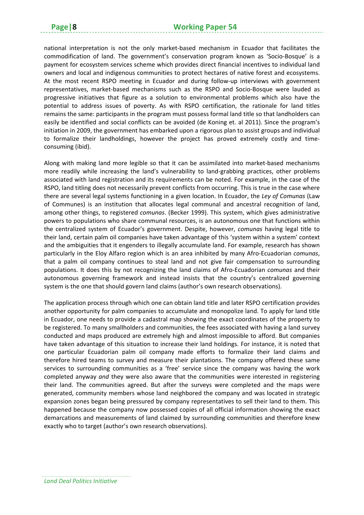national interpretation is not the only market‐based mechanism in Ecuador that facilitates the commodification of land. The government's conservation program known as 'Socio‐Bosque' is a payment for ecosystem services scheme which provides direct financial incentives to individual land owners and local and indigenous communities to protect hectares of native forest and ecosystems. At the most recent RSPO meeting in Ecuador and during follow‐up interviews with government representatives, market‐based mechanisms such as the RSPO and Socio‐Bosque were lauded as progressive initiatives that figure as a solution to environmental problems which also have the potential to address issues of poverty. As with RSPO certification, the rationale for land titles remains the same: participants in the program must possess formal land title so that landholders can easily be identified and social conflicts can be avoided (de Koning et. al 2011). Since the program's initiation in 2009, the government has embarked upon a rigorous plan to assist groups and individual to formalize their landholdings, however the project has proved extremely costly and time‐ consuming (ibid).

Along with making land more legible so that it can be assimilated into market-based mechanisms more readily while increasing the land's vulnerability to land‐grabbing practices, other problems associated with land registration and its requirements can be noted. For example, in the case of the RSPO, land titling does not necessarily prevent conflicts from occurring. This is true in the case where there are several legal systems functioning in a given location. In Ecuador, the *Ley of Comunas* (Law of Communes) is an institution that allocates legal communal and ancestral recognition of land, among other things, to registered *comunas*. (Becker 1999). This system, which gives administrative powers to populations who share communal resources, is an autonomous one that functions within the centralized system of Ecuador's government. Despite, however, *comunas* having legal title to their land, certain palm oil companies have taken advantage of this 'system within a system' context and the ambiguities that it engenders to illegally accumulate land. For example, research has shown particularly in the Eloy Alfaro region which is an area inhibited by many Afro‐Ecuadorian *comunas*, that a palm oil company continues to steal land and not give fair compensation to surrounding populations. It does this by not recognizing the land claims of Afro‐Ecuadorian *comunas* and their autonomous governing framework and instead insists that the country's centralized governing system is the one that should govern land claims (author's own research observations).

The application process through which one can obtain land title and later RSPO certification provides another opportunity for palm companies to accumulate and monopolize land. To apply for land title in Ecuador, one needs to provide a cadastral map showing the exact coordinates of the property to be registered. To many smallholders and communities, the fees associated with having a land survey conducted and maps produced are extremely high and almost impossible to afford. But companies have taken advantage of this situation to increase their land holdings. For instance, it is noted that one particular Ecuadorian palm oil company made efforts to formalize their land claims and therefore hired teams to survey and measure their plantations. The company offered these same services to surrounding communities as a 'free' service since the company was having the work completed anyway *and* they were also aware that the communities were interested in registering their land. The communities agreed. But after the surveys were completed and the maps were generated, community members whose land neighbored the company and was located in strategic expansion zones began being pressured by company representatives to sell their land to them. This happened because the company now possessed copies of all official information showing the exact demarcations and measurements of land claimed by surrounding communities and therefore knew exactly who to target (author's own research observations).

*Land Deal Politics Initiative*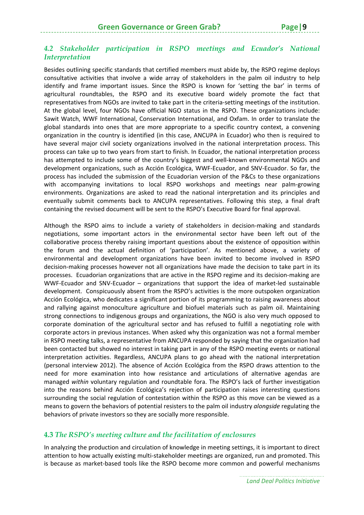#### *4.2 Stakeholder participation in RSPO meetings and Ecuador's National Interpretation*

Besides outlining specific standards that certified members must abide by, the RSPO regime deploys consultative activities that involve a wide array of stakeholders in the palm oil industry to help identify and frame important issues. Since the RSPO is known for 'setting the bar' in terms of agricultural roundtables, the RSPO and its executive board widely promote the fact that representatives from NGOs are invited to take part in the criteria‐setting meetings of the institution. At the global level, four NGOs have official NGO status in the RSPO. These organizations include: Sawit Watch, WWF International, Conservation International, and Oxfam. In order to translate the global standards into ones that are more appropriate to a specific country context, a convening organization in the country is identified (in this case, ANCUPA in Ecuador) who then is required to have several major civil society organizations involved in the national interpretation process. This process can take up to two years from start to finish. In Ecuador, the national interpretation process has attempted to include some of the country's biggest and well-known environmental NGOs and development organizations, such as Acción Ecológica, WWF‐Ecuador, and SNV‐Ecuador. So far, the process has included the submission of the Ecuadorian version of the P&Cs to these organizations with accompanying invitations to local RSPO workshops and meetings near palm-growing environments. Organizations are asked to read the national interpretation and its principles and eventually submit comments back to ANCUPA representatives. Following this step, a final draft containing the revised document will be sent to the RSPO's Executive Board for final approval.

Although the RSPO aims to include a variety of stakeholders in decision‐making and standards negotiations, some important actors in the environmental sector have been left out of the collaborative process thereby raising important questions about the existence of opposition within the forum and the actual definition of 'participation'. As mentioned above, a variety of environmental and development organizations have been invited to become involved in RSPO decision‐making processes however not all organizations have made the decision to take part in its processes. Ecuadorian organizations that are active in the RSPO regime and its decision‐making are WWF-Ecuador and SNV-Ecuador – organizations that support the idea of market-led sustainable development. Conspicuously absent from the RSPO's activities is the more outspoken organization Acción Ecológica, who dedicates a significant portion of its programming to raising awareness about and rallying against monoculture agriculture and biofuel materials such as palm oil. Maintaining strong connections to indigenous groups and organizations, the NGO is also very much opposed to corporate domination of the agricultural sector and has refused to fulfill a negotiating role with corporate actors in previous instances. When asked why this organization was not a formal member in RSPO meeting talks, a representative from ANCUPA responded by saying that the organization had been contacted but showed no interest in taking part in any of the RSPO meeting events or national interpretation activities. Regardless, ANCUPA plans to go ahead with the national interpretation (personal interview 2012). The absence of Acción Ecológica from the RSPO draws attention to the need for more examination into how resistance and articulations of alternative agendas are managed *within* voluntary regulation and roundtable fora. The RSPO's lack of further investigation into the reasons behind Acción Ecológica's rejection of participation raises interesting questions surrounding the social regulation of contestation within the RSPO as this move can be viewed as a means to govern the behaviors of potential resisters to the palm oil industry *alongside* regulating the behaviors of private investors so they are socially more responsible.

#### **4.3** *The RSPO's meeting culture and the facilitation of enclosures*

In analyzing the production and circulation of knowledge in meeting settings, it is important to direct attention to how actually existing multi‐stakeholder meetings are organized, run and promoted. This is because as market‐based tools like the RSPO become more common and powerful mechanisms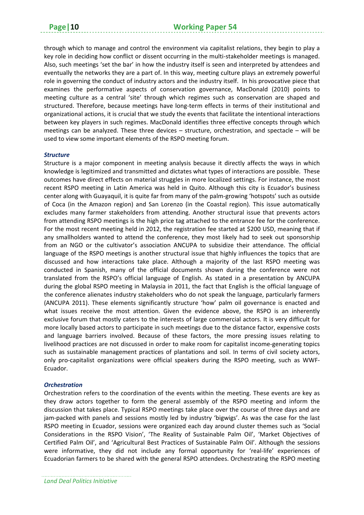through which to manage and control the environment via capitalist relations, they begin to play a key role in deciding how conflict or dissent occurring in the multi-stakeholder meetings is managed. Also, such meetings 'set the bar' in how the industry itself is seen and interpreted by attendees and eventually the networks they are a part of. In this way, meeting culture plays an extremely powerful role in governing the conduct of industry actors and the industry itself. In his provocative piece that examines the performative aspects of conservation governance, MacDonald (2010) points to meeting culture as a central 'site' through which regimes such as conservation are shaped and structured. Therefore, because meetings have long‐term effects in terms of their institutional and organizational actions, it is crucial that we study the events that facilitate the intentional interactions between key players in such regimes. MacDonald identifies three effective concepts through which meetings can be analyzed. These three devices – structure, orchestration, and spectacle – will be used to view some important elements of the RSPO meeting forum.

#### *Structure*

Structure is a major component in meeting analysis because it directly affects the ways in which knowledge is legitimized and transmitted and dictates what types of interactions are possible. These outcomes have direct effects on material struggles in more localized settings. For instance, the most recent RSPO meeting in Latin America was held in Quito. Although this city is Ecuador's business center along with Guayaquil, it is quite far from many of the palm‐growing 'hotspots' such as outside of Coca (in the Amazon region) and San Lorenzo (in the Coastal region). This issue automatically excludes many farmer stakeholders from attending. Another structural issue that prevents actors from attending RSPO meetings is the high price tag attached to the entrance fee for the conference. For the most recent meeting held in 2012, the registration fee started at \$200 USD, meaning that if any smallholders wanted to attend the conference, they most likely had to seek out sponsorship from an NGO or the cultivator's association ANCUPA to subsidize their attendance. The official language of the RSPO meetings is another structural issue that highly influences the topics that are discussed and how interactions take place. Although a majority of the last RSPO meeting was conducted in Spanish, many of the official documents shown during the conference were not translated from the RSPO's official language of English. As stated in a presentation by ANCUPA during the global RSPO meeting in Malaysia in 2011, the fact that English is the official language of the conference alienates industry stakeholders who do not speak the language, particularly farmers (ANCUPA 2011). These elements significantly structure 'how' palm oil governance is enacted and what issues receive the most attention. Given the evidence above, the RSPO is an inherently exclusive forum that mostly caters to the interests of large commercial actors. It is very difficult for more locally based actors to participate in such meetings due to the distance factor, expensive costs and language barriers involved. Because of these factors, the more pressing issues relating to livelihood practices are not discussed in order to make room for capitalist income‐generating topics such as sustainable management practices of plantations and soil. In terms of civil society actors, only pro‐capitalist organizations were official speakers during the RSPO meeting, such as WWF‐ Ecuador.

#### *Orchestration*

Orchestration refers to the coordination of the events within the meeting. These events are key as they draw actors together to form the general assembly of the RSPO meeting and inform the discussion that takes place. Typical RSPO meetings take place over the course of three days and are jam-packed with panels and sessions mostly led by industry 'bigwigs'. As was the case for the last RSPO meeting in Ecuador, sessions were organized each day around cluster themes such as 'Social Considerations in the RSPO Vision', 'The Reality of Sustainable Palm Oil', 'Market Objectives of Certified Palm Oil', and 'Agricultural Best Practices of Sustainable Palm Oil'. Although the sessions were informative, they did not include any formal opportunity for 'real-life' experiences of Ecuadorian farmers to be shared with the general RSPO attendees. Orchestrating the RSPO meeting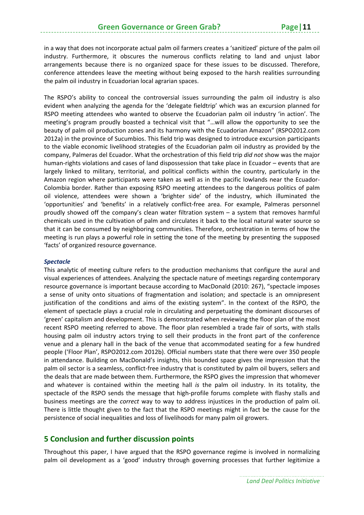in a way that does not incorporate actual palm oil farmers creates a 'sanitized' picture of the palm oil industry. Furthermore, it obscures the numerous conflicts relating to land and unjust labor arrangements because there is no organized space for these issues to be discussed. Therefore, conference attendees leave the meeting without being exposed to the harsh realities surrounding the palm oil industry in Ecuadorian local agrarian spaces.

The RSPO's ability to conceal the controversial issues surrounding the palm oil industry is also evident when analyzing the agenda for the 'delegate fieldtrip' which was an excursion planned for RSPO meeting attendees who wanted to observe the Ecuadorian palm oil industry 'in action'. The meeting's program proudly boasted a technical visit that "…will allow the opportunity to see the beauty of palm oil production zones and its harmony with the Ecuadorian Amazon" (RSPO2012.com 2012a) in the province of Sucumbios. This field trip was designed to introduce excursion participants to the viable economic livelihood strategies of the Ecuadorian palm oil industry as provided by the company, Palmeras del Ecuador. What the orchestration of this field trip *did not* show was the major human-rights violations and cases of land dispossession that take place in Ecuador – events that are largely linked to military, territorial, and political conflicts within the country, particularly in the Amazon region where participants were taken as well as in the pacific lowlands near the Ecuador‐ Colombia border. Rather than exposing RSPO meeting attendees to the dangerous politics of palm oil violence, attendees were shown a 'brighter side' of the industry, which illuminated the 'opportunities' and 'benefits' in a relatively conflict‐free area. For example, Palmeras personnel proudly showed off the company's clean water filtration system – a system that removes harmful chemicals used in the cultivation of palm and circulates it back to the local natural water source so that it can be consumed by neighboring communities. Therefore, orchestration in terms of how the meeting is run plays a powerful role in setting the tone of the meeting by presenting the supposed 'facts' of organized resource governance.

#### *Spectacle*

This analytic of meeting culture refers to the production mechanisms that configure the aural and visual experiences of attendees. Analyzing the spectacle nature of meetings regarding contemporary resource governance is important because according to MacDonald (2010: 267), "spectacle imposes a sense of unity onto situations of fragmentation and isolation; and spectacle is an omnipresent justification of the conditions and aims of the existing system". In the context of the RSPO, the element of spectacle plays a crucial role in circulating and perpetuating the dominant discourses of 'green' capitalism and development. This is demonstrated when reviewing the floor plan of the most recent RSPO meeting referred to above. The floor plan resembled a trade fair of sorts, with stalls housing palm oil industry actors trying to sell their products in the front part of the conference venue and a plenary hall in the back of the venue that accommodated seating for a few hundred people ('Floor Plan', RSPO2012.com 2012b). Official numbers state that there were over 350 people in attendance. Building on MacDonald's insights, this bounded space gives the impression that the palm oil sector is a seamless, conflict-free industry that is constituted by palm oil buyers, sellers and the deals that are made between them. Furthermore, the RSPO gives the impression that whomever and whatever is contained within the meeting hall *is* the palm oil industry. In its totality, the spectacle of the RSPO sends the message that high-profile forums complete with flashy stalls and business meetings are the *correct* way to way to address injustices in the production of palm oil. There is little thought given to the fact that the RSPO meetings might in fact be the cause for the persistence of social inequalities and loss of livelihoods for many palm oil growers.

#### **5 Conclusion and further discussion points**

Throughout this paper, I have argued that the RSPO governance regime is involved in normalizing palm oil development as a 'good' industry through governing processes that further legitimize a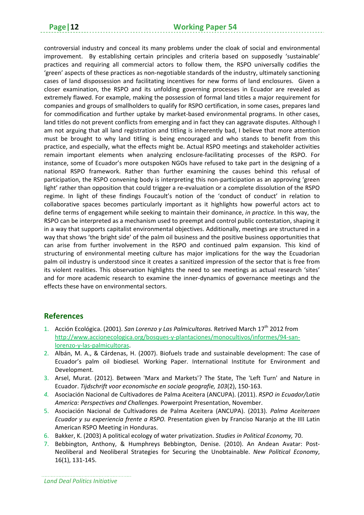controversial industry and conceal its many problems under the cloak of social and environmental improvement. By establishing certain principles and criteria based on supposedly 'sustainable' practices and requiring all commercial actors to follow them, the RSPO universally codifies the 'green' aspects of these practices as non‐negotiable standards of the industry, ultimately sanctioning cases of land dispossession and facilitating incentives for new forms of land enclosures. Given a closer examination, the RSPO and its unfolding governing processes in Ecuador are revealed as extremely flawed. For example, making the possession of formal land titles a major requirement for companies and groups of smallholders to qualify for RSPO certification, in some cases, prepares land for commodification and further uptake by market-based environmental programs. In other cases, land titles do not prevent conflicts from emerging and in fact they can aggravate disputes. Although I am not arguing that all land registration and titling is inherently bad, I believe that more attention must be brought to why land titling is being encouraged and who stands to benefit from this practice, and especially, what the effects might be. Actual RSPO meetings and stakeholder activities remain important elements when analyzing enclosure‐facilitating processes of the RSPO. For instance, some of Ecuador's more outspoken NGOs have refused to take part in the designing of a national RSPO framework. Rather than further examining the causes behind this refusal of participation, the RSPO convening body is interpreting this non‐participation as an approving 'green light' rather than opposition that could trigger a re-evaluation or a complete dissolution of the RSPO regime. In light of these findings Foucault's notion of the 'conduct of conduct' in relation to collaborative spaces becomes particularly important as it highlights how powerful actors act to define terms of engagement while seeking to maintain their dominance, *in practice.* In this way, the RSPO can be interpreted as a mechanism used to preempt and control public contestation, shaping it in a way that supports capitalist environmental objectives. Additionally, meetings are structured in a way that shows 'the bright side' of the palm oil business and the positive business opportunities that can arise from further involvement in the RSPO and continued palm expansion. This kind of structuring of environmental meeting culture has major implications for the way the Ecuadorian palm oil industry is understood since it creates a sanitized impression of the sector that is free from its violent realities. This observation highlights the need to see meetings as actual research 'sites' and for more academic research to examine the inner‐dynamics of governance meetings and the effects these have on environmental sectors.

#### **References**

- 1. Acción Ecológica. (2001). *San Lorenzo y Las Palmicultoras.* Retrived March 17<sup>th</sup> 2012 from http://www.accionecologica.org/bosques‐y‐plantaciones/monocultivos/informes/94‐san‐ lorenzo‐y‐las‐palmicultoras.
- 2. Albán, M. A., & Cárdenas, H. (2007). Biofuels trade and sustainable development: The case of Ecuador's palm oil biodiesel*.* Working Paper. International Institute for Environment and Development.
- 3. Arsel, Murat. (2012). Between 'Marx and Markets'? The State, The 'Left Turn' and Nature in Ecuador. *Tijdschrift voor economische en sociale geografie, 103*(2), 150‐163.
- *4.* Asociación Nacional de Cultivadores de Palma Aceitera (ANCUPA). (2011). *RSPO in Ecuador/Latin America: Perspectives and Challenges.* Powerpoint Presentation, November.
- 5. Asociación Nacional de Cultivadores de Palma Aceitera (ANCUPA). (2013). *Palma Aceiteraen Ecuador y su experiencia frente a RSPO.* Presentation given by Franciso Naranjo at the IIII Latin American RSPO Meeting in Honduras.
- 6. Bakker, K. (2003) A political ecology of water privatization. *Studies in Political Economy,* 70.
- 7. Bebbington, Anthony, & Humphreys Bebbington, Denise. (2010). An Andean Avatar: Post‐ Neoliberal and Neoliberal Strategies for Securing the Unobtainable. *New Political Economy*, 16(1), 131‐145.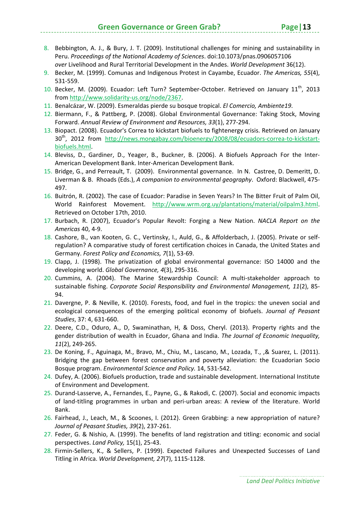- 8. Bebbington, A. J., & Bury, J. T. (2009). Institutional challenges for mining and sustainability in Peru. *Proceedings of the National Academy of Sciences*. doi:10.1073/pnas.0906057106 *over* Livelihood and Rural Territorial Development in the Andes. *World Development* 36(12).
- 9. Becker, M. (1999). Comunas and Indigenous Protest in Cayambe, Ecuador. *The Americas, 55*(4), 531‐559.
- 10. Becker, M. (2009). Ecuador: Left Turn? September-October. Retrieved on January 11<sup>th</sup>, 2013 from http://www.solidarity‐us.org/node/2367.
- 11. Benalcázar, W. (2009). Esmeraldas pierde su bosque tropical. *El Comercio, Ambiente19*.
- 12. Biermann, F., & Pattberg, P. (2008). Global Environmental Governance: Taking Stock, Moving Forward. *Annual Review of Environment and Resources, 33*(1), 277‐294.
- 13. Biopact. (2008). Ecuador's Correa to kickstart biofuels to fightenergy crisis. Retrieved on January 30<sup>th</sup>, 2012 from http://news.mongabay.com/bioenergy/2008/08/ecuadors-correa-to-kickstartbiofuels.html.
- 14. Bleviss, D., Gardiner, D., Yeager, B., Buckner, B. (2006). A Biofuels Approach For the Inter‐ American Development Bank. Inter‐American Development Bank.
- 15. Bridge, G., and Perreault, T. (2009). Environmental governance. In N. Castree, D. Demeritt, D. Liverman & B. Rhoads (Eds.), *A companion to environmental geography*. Oxford: Blackwell, 475‐ 497.
- 16. Buitrón, R. (2002). The case of Ecuador: Paradise in Seven Years? In The Bitter Fruit of Palm Oil, World Rainforest Movement. http://www.wrm.org.uy/plantations/material/oilpalm3.html. Retrieved on October 17th, 2010.
- 17. Burbach, R. (2007), Ecuador's Popular Revolt: Forging a New Nation. *NACLA Report on the Americas* 40, 4‐9.
- 18. Cashore, B., van Kooten, G. C., Vertinsky, I., Auld, G., & Affolderbach, J. (2005). Private or self‐ regulation? A comparative study of forest certification choices in Canada, the United States and Germany. *Forest Policy and Economics, 7*(1), 53‐69.
- 19. Clapp, J. (1998). The privatization of global environmental governance: ISO 14000 and the developing world. *Global Governance, 4*(3), 295‐316.
- 20. Cummins, A. (2004). The Marine Stewardship Council: A multi‐stakeholder approach to sustainable fishing. *Corporate Social Responsibility and Environmental Management, 11*(2), 85‐ 94.
- 21. Davergne, P. & Neville, K. (2010). Forests, food, and fuel in the tropics: the uneven social and ecological consequences of the emerging political economy of biofuels. *Journal of Peasant Studies*, 37: 4, 631‐660.
- 22. Deere, C.D., Oduro, A., D, Swaminathan, H, & Doss, Cheryl. (2013). Property rights and the gender distribution of wealth in Ecuador, Ghana and India. *The Journal of Economic Inequality, 11*(2), 249‐265.
- 23. De Koning, F., Aguinaga, M., Bravo, M., Chiu, M., Lascano, M., Lozada, T., ,& Suarez, L. (2011). Bridging the gap between forest conservation and poverty alleviation: the Ecuadorian Socio Bosque program. *Environmental Science and Policy.* 14, 531‐542.
- 24. Dufey, A. (2006). Biofuels production, trade and sustainable development. International Institute of Environment and Development.
- 25. Durand‐Lasserve, A., Fernandes, E., Payne, G., & Rakodi, C. (2007). Social and economic impacts of land‐titling programmes in urban and peri‐urban areas: A review of the literature. World Bank.
- 26. Fairhead, J., Leach, M., & Scoones, I. (2012). Green Grabbing: a new appropriation of nature? *Journal of Peasant Studies, 39*(2), 237‐261.
- 27. Feder, G. & Nishio, A. (1999). The benefits of land registration and titling: economic and social perspectives. *Land Policy,* 15(1), 25‐43.
- 28. Firmin‐Sellers, K., & Sellers, P. (1999). Expected Failures and Unexpected Successes of Land Titling in Africa. *World Development, 27*(7), 1115‐1128.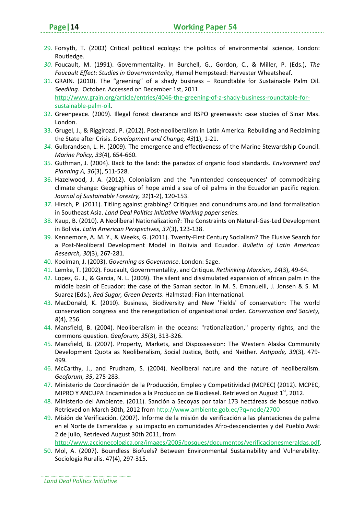- 29. Forsyth, T. (2003) Critical political ecology: the politics of environmental science, London: Routledge.
- *30.* Foucault, M. (1991). Governmentality. In Burchell, G., Gordon, C., & Miller, P. (Eds.), *The Foucault Effect: Studies in Governmentality*, Hemel Hempstead: Harvester Wheatsheaf.
- 31. GRAIN. (2010). The "greening" of a shady business Roundtable for Sustainable Palm Oil. *Seedling.* October. Accessed on December 1st, 2011. http://www.grain.org/article/entries/4046-the-greening-of-a-shady-business-roundtable-forsustainable‐palm‐oil**.**
- 32. Greenpeace. (2009). Illegal forest clearance and RSPO greenwash: case studies of Sinar Mas. London.
- 33. Grugel, J., & Riggirozzi, P. (2012). Post‐neoliberalism in Latin America: Rebuilding and Reclaiming the State after Crisis. *Development and Change, 43*(1), 1‐21.
- *34.* Gulbrandsen, L. H. (2009). The emergence and effectiveness of the Marine Stewardship Council. *Marine Policy, 33*(4), 654‐660.
- 35. Guthman, J. (2004). Back to the land: the paradox of organic food standards. *Environment and Planning A, 36*(3), 511‐528.
- 36. Hazelwood, J. A. (2012). Colonialism and the "unintended consequences' of commoditizing climate change: Geographies of hope amid a sea of oil palms in the Ecuadorian pacific region. *Journal of Sustainable Forestry, 31*(1‐2), 120‐153.
- *37.* Hirsch, P. (2011). Titling against grabbing? Critiques and conundrums around land formalisation in Southeast Asia. *Land Deal Politics Initiative Working paper series.*
- 38. Kaup, B. (2010). A Neoliberal Nationalization?: The Constraints on Natural‐Gas‐Led Development in Bolivia. *Latin American Perspectives, 37*(3), 123‐138.
- 39. Kennemore, A. M. Y., & Weeks, G. (2011). Twenty‐First Century Socialism? The Elusive Search for a Post‐Neoliberal Development Model in Bolivia and Ecuador. *Bulletin of Latin American Research, 30*(3), 267‐281.
- 40. Kooiman, J. (2003). *Governing as Governance*. London: Sage.
- 41. Lemke, T. (2002). Foucault, Governmentality, and Critique. *Rethinking Marxism, 14*(3), 49‐64.
- 42. Lopez, G. J., & Garcia, N. L. (2009). The silent and dissimulated expansion of african palm in the middle basin of Ecuador: the case of the Saman sector. In M. S. Emanuelli, J. Jonsen & S. M. Suarez (Eds.), *Red Sugar, Green Deserts*. Halmstad: Fian International.
- 43. MacDonald, K. (2010). Business, Biodiversity and New 'Fields' of conservation: The world conservation congress and the renegotiation of organisational order. *Conservation and Society, 8*(4), 256.
- 44. Mansfield, B. (2004). Neoliberalism in the oceans: "rationalization," property rights, and the commons question. *Geoforum, 35*(3), 313‐326.
- 45. Mansfield, B. (2007). Property, Markets, and Dispossession: The Western Alaska Community Development Quota as Neoliberalism, Social Justice, Both, and Neither. *Antipode, 39*(3), 479‐ 499.
- 46. McCarthy, J., and Prudham, S. (2004). Neoliberal nature and the nature of neoliberalism. *Geoforum, 35*, 275‐283.
- 47. Ministerio de Coordinación de la Producción, Empleo y Competitividad (MCPEC) (2012). MCPEC, MIPRO Y ANCUPA Encaminados a la Produccion de Biodiesel. Retrieved on August  $1<sup>st</sup>$ , 2012.
- 48. Ministerio del Ambiente. (2011). Sanción a Secoyas por talar 173 hectáreas de bosque nativo. Retrieved on March 30th, 2012 from http://www.ambiente.gob.ec/?q=node/2700
- 49. Misión de Verificación. (2007). Informe de la misión de verificación a las plantaciones de palma en el Norte de Esmeraldas y su impacto en comunidades Afro-descendientes y del Pueblo Awá: 2 de julio, Retrieved August 30th 2011, from

http://www.accionecologica.org/images/2005/bosques/documentos/verificacionesmeraldas.pdf.

50. Mol, A. (2007). Boundless Biofuels? Between Environmental Sustainability and Vulnerability. Sociologia Ruralis. 47(4), 297‐315.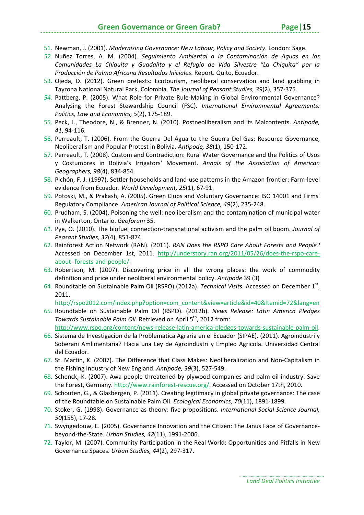- 51. Newman, J. (2001). *Modernising Governance: New Labour, Policy and Society*. London: Sage.
- *52.* Nuñez Torres, A. M. (2004). *Seguimiento Ambiental a la Contaminación de Aguas en las Comunidades La Chiquita y Guadalito y el Refugio de Vida Silvestre "La Chiquita" por la Producción de Palma Africana Resultados Iniciales*. Report. Quito, Ecuador.
- 53. Ojeda, D. (2012). Green pretexts: Ecotourism, neoliberal conservation and land grabbing in Tayrona National Natural Park, Colombia. *The Journal of Peasant Studies, 39*(2), 357‐375.
- *54.* Pattberg, P. (2005). What Role for Private Rule‐Making in Global Environmental Governance? Analysing the Forest Stewardship Council (FSC). *International Environmental Agreements: Politics, Law and Economics, 5*(2), 175‐189.
- 55. Peck, J., Theodore, N., & Brenner, N. (2010). Postneoliberalism and its Malcontents. *Antipode, 41*, 94‐116.
- 56. Perreault, T. (2006). From the Guerra Del Agua to the Guerra Del Gas: Resource Governance, Neoliberalism and Popular Protest in Bolivia. *Antipode, 38*(1), 150‐172.
- 57. Perreault, T. (2008). Custom and Contradiction: Rural Water Governance and the Politics of Usos y Costumbres in Bolivia's Irrigators' Movement. *Annals of the Association of American Geographers, 98*(4), 834‐854.
- 58. Pichón, F. J. (1997). Settler households and land‐use patterns in the Amazon frontier: Farm‐level evidence from Ecuador. *World Development, 25*(1), 67‐91.
- 59. Potoski, M., & Prakash, A. (2005). Green Clubs and Voluntary Governance: ISO 14001 and Firms' Regulatory Compliance. *American Journal of Political Science, 49*(2), 235‐248.
- 60. Prudham, S. (2004). Poisoning the well: neoliberalism and the contamination of municipal water in Walkerton, Ontario. *Geoforum* 35.
- *61.* Pye, O. (2010). The biofuel connection‐transnational activism and the palm oil boom. *Journal of Peasant Studies, 37*(4), 851‐874.
- 62. Rainforest Action Network (RAN). (2011). *RAN Does the RSPO Care About Forests and People?* Accessed on December 1st, 2011. http://understory.ran.org/2011/05/26/does-the-rspo-careabout‐ forests‐and‐people/.
- 63. Robertson, M. (2007). Discovering price in all the wrong places: the work of commodity definition and price under neoliberal environmental policy. *Antipode* 39 (3)
- 64. Roundtable on Sustainable Palm Oil (RSPO) (2012a). *Technical Visits.* Accessed on December 1st, 2011.
- http://rspo2012.com/index.php?option=com\_content&view=article&id=40&Itemid=72&lang=en 65. Roundtable on Sustainable Palm Oil (RSPO). (2012b). *News Release: Latin America Pledges Towards Sustainable Palm Oil.* Retrieved on April 5th, 2012 from:

http://www.rspo.org/content/news-release-latin-america-pledges-towards-sustainable-palm-oil.

- 66. Sistema de Investigacion de la Problematica Agraria en el Ecuador (SIPAE). (2011). Agroindustri y Soberani Amlimentaria? Hacia una Ley de Agroindustri y Empleo Agricola. Universidad Central del Ecuador.
- 67. St. Martin, K. (2007). The Difference that Class Makes: Neoliberalization and Non‐Capitalism in the Fishing Industry of New England. *Antipode, 39*(3), 527‐549.
- 68. Schenck, K. (2007). Awa people threatened by plywood companies and palm oil industry. Save the Forest, Germany. http://www.rainforest-rescue.org/. Accessed on October 17th, 2010.
- 69. Schouten, G., & Glasbergen, P. (2011). Creating legitimacy in global private governance: The case of the Roundtable on Sustainable Palm Oil. *Ecological Economics, 70*(11), 1891‐1899.
- 70. Stoker, G. (1998). Governance as theory: five propositions. *International Social Science Journal, 50*(155), 17‐28.
- 71. Swyngedouw, E. (2005). Governance Innovation and the Citizen: The Janus Face of Governance‐ beyond‐the‐State. *Urban Studies, 42*(11), 1991‐2006.
- 72. Taylor, M. (2007). Community Participation in the Real World: Opportunities and Pitfalls in New Governance Spaces. *Urban Studies, 44*(2), 297‐317.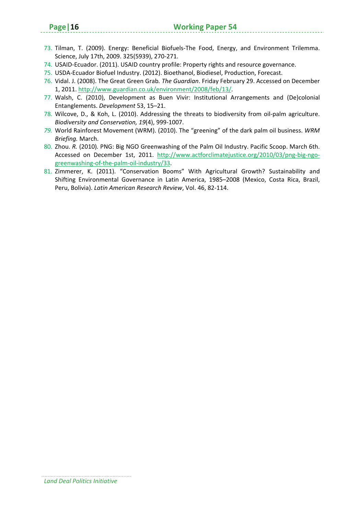- 73. Tilman, T. (2009). Energy: Beneficial Biofuels-The Food, Energy, and Environment Trilemma. Science, July 17th, 2009. 325(5939), 270‐271.
- 74. USAID‐Ecuador. (2011). USAID country profile: Property rights and resource governance.
- 75. USDA‐Ecuador Biofuel Industry. (2012). Bioethanol, Biodiesel, Production, Forecast.
- 76. Vidal. J. (2008). The Great Green Grab*. The Guardian*. Friday February 29. Accessed on December 1, 2011. http://www.guardian.co.uk/environment/2008/feb/13/.
- 77. Walsh, C. (2010), Development as Buen Vivir: Institutional Arrangements and (De)colonial Entanglements. *Development* 53, 15–21.
- 78. Wilcove, D., & Koh, L. (2010). Addressing the threats to biodiversity from oil‐palm agriculture. *Biodiversity and Conservation, 19*(4), 999‐1007.
- *79.* World Rainforest Movement (WRM). (2010). The "greening" of the dark palm oil business. *WRM Briefing.* March.
- 80. Zhou. *R.* (2010)*.* PNG: Big NGO Greenwashing of the Palm Oil Industry. Pacific Scoop. March 6th. Accessed on December 1st, 2011. http://www.actforclimatejustice.org/2010/03/png‐big‐ngo‐ greenwashing‐of‐the‐palm‐oil‐industry/33.
- 81. Zimmerer, K. (2011). "Conservation Booms" With Agricultural Growth? Sustainability and Shifting Environmental Governance in Latin America, 1985–2008 (Mexico, Costa Rica, Brazil, Peru, Bolivia). *Latin American Research Review*, Vol. 46, 82‐114.

*Land Deal Politics Initiative*